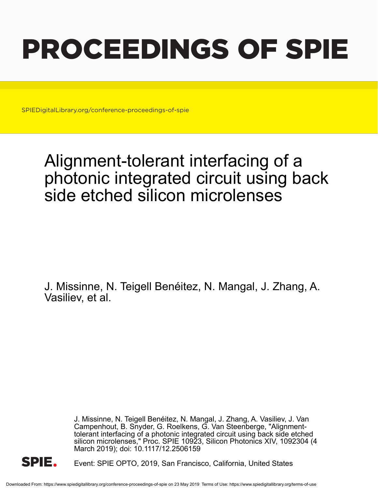# PROCEEDINGS OF SPIE

SPIEDigitalLibrary.org/conference-proceedings-of-spie

## Alignment-tolerant interfacing of a photonic integrated circuit using back side etched silicon microlenses

J. Missinne, N. Teigell Benéitez, N. Mangal, J. Zhang, A. Vasiliev, et al.

> J. Missinne, N. Teigell Benéitez, N. Mangal, J. Zhang, A. Vasiliev, J. Van Campenhout, B. Snyder, G. Roelkens, G. Van Steenberge, "Alignmenttolerant interfacing of a photonic integrated circuit using back side etched silicon microlenses," Proc. SPIE 10923, Silicon Photonics XIV, 1092304 (4 March 2019); doi: 10.1117/12.2506159



Event: SPIE OPTO, 2019, San Francisco, California, United States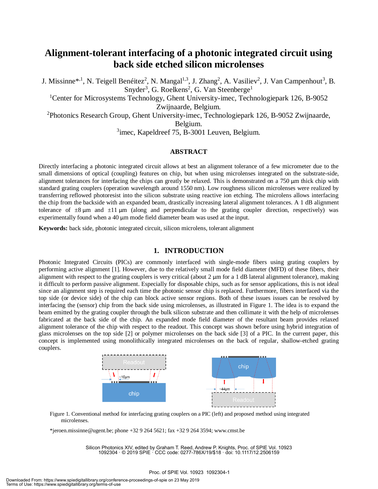### **Alignment-tolerant interfacing of a photonic integrated circuit using back side etched silicon microlenses**

J. Missinne<sup>\*,1</sup>, N. Teigell Benéitez<sup>2</sup>, N. Mangal<sup>1,3</sup>, J. Zhang<sup>2</sup>, A. Vasiliev<sup>2</sup>, J. Van Campenhout<sup>3</sup>, B. Snyder<sup>3</sup>, G. Roelkens<sup>2</sup>, G. Van Steenberge<sup>1</sup>

<sup>1</sup>Center for Microsystems Technology, Ghent University-imec, Technologiepark 126, B-9052 Zwijnaarde, Belgium.

<sup>2</sup>Photonics Research Group, Ghent University-imec, Technologiepark 126, B-9052 Zwijnaarde,

Belgium.

<sup>3</sup>imec, Kapeldreef 75, B-3001 Leuven, Belgium.

#### **ABSTRACT**

Directly interfacing a photonic integrated circuit allows at best an alignment tolerance of a few micrometer due to the small dimensions of optical (coupling) features on chip, but when using microlenses integrated on the substrate-side, alignment tolerances for interfacing the chips can greatly be relaxed. This is demonstrated on a 750 μm thick chip with standard grating couplers (operation wavelength around 1550 nm). Low roughness silicon microlenses were realized by transferring reflowed photoresist into the silicon substrate using reactive ion etching. The microlens allows interfacing the chip from the backside with an expanded beam, drastically increasing lateral alignment tolerances. A 1 dB alignment tolerance of  $\pm 8 \mu m$  and  $\pm 11 \mu m$  (along and perpendicular to the grating coupler direction, respectively) was experimentally found when a 40 μm mode field diameter beam was used at the input.

**Keywords:** back side, photonic integrated circuit, silicon microlens, tolerant alignment

#### **1. INTRODUCTION**

Photonic Integrated Circuits (PICs) are commonly interfaced with single-mode fibers using grating couplers by performing active alignment [1]. However, due to the relatively small mode field diameter (MFD) of these fibers, their alignment with respect to the grating couplers is very critical (about  $2 \mu m$  for a 1 dB lateral alignment tolerance), making it difficult to perform passive alignment. Especially for disposable chips, such as for sensor applications, this is not ideal since an alignment step is required each time the photonic sensor chip is replaced. Furthermore, fibers interfaced via the top side (or device side) of the chip can block active sensor regions. Both of these issues issues can be resolved by interfacing the (sensor) chip from the back side using microlenses, as illustrated in Figure 1. The idea is to expand the beam emitted by the grating coupler through the bulk silicon substrate and then collimate it with the help of microlenses fabricated at the back side of the chip. An expanded mode field diameter of the resultant beam provides relaxed alignment tolerance of the chip with respect to the readout. This concept was shown before using hybrid integration of glass microlenses on the top side [2] or polymer microlenses on the back side [3] of a PIC. In the current paper, this concept is implemented using monolithically integrated microlenses on the back of regular, shallow-etched grating couplers.



Figure 1. Conventional method for interfacing grating couplers on a PIC (left) and proposed method using integrated microlenses.

\*jeroen.missinne@ugent.be; phone +32 9 264 5621; fax +32 9 264 3594; www.cmst.be

Silicon Photonics XIV, edited by Graham T. Reed, Andrew P. Knights, Proc. of SPIE Vol. 10923 1092304 · © 2019 SPIE · CCC code: 0277-786X/19/\$18 · doi: 10.1117/12.2506159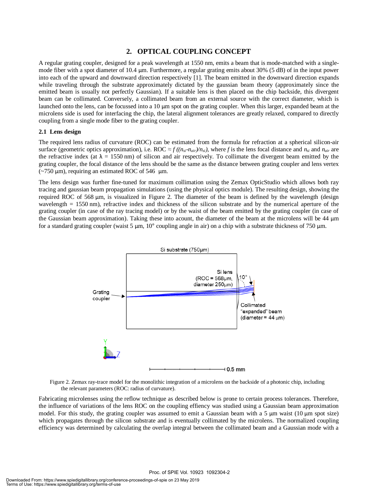#### **2. OPTICAL COUPLING CONCEPT**

A regular grating coupler, designed for a peak wavelength at 1550 nm, emits a beam that is mode-matched with a singlemode fiber with a spot diameter of 10.4 μm. Furthermore, a regular grating emits about 30% (5 dB) of in the input power into each of the upward and downward direction respectively [1]. The beam emitted in the downward direction expands while traveling through the substrate approximately dictated by the gaussian beam theory (approximately since the emitted beam is usually not perfectly Gaussian). If a suitable lens is then placed on the chip backside, this divergent beam can be collimated. Conversely, a collimated beam from an external source with the correct diameter, which is launched onto the lens, can be focussed into a 10 μm spot on the grating coupler. When this larger, expanded beam at the microlens side is used for interfacing the chip, the lateral alignment tolerances are greatly relaxed, compared to directly coupling from a single mode fiber to the grating coupler.

#### **2.1 Lens design**

The required lens radius of curvature (ROC) can be estimated from the formula for refraction at a spherical silicon-air surface (geometric optics approximation), i.e. ROC  $\approx f((n_{si} - n_{air})/n_{si})$ , where f is the lens focal distance and  $n_{si}$  and  $n_{air}$  are the refractive index (at  $\lambda = 1550$  nm) of silicon and air respectively. To collimate the divergent beam emitted by the grating coupler, the focal distance of the lens should be the same as the distance between grating coupler and lens vertex  $(-750 \mu m)$ , requiring an estimated ROC of 546 μm.

The lens design was further fine-tuned for maximum collimation using the Zemax OpticStudio which allows both ray tracing and gaussian beam propagation simulations (using the physical optics module). The resulting design, showing the required ROC of 568 μm, is visualized in Figure 2. The diameter of the beam is defined by the wavelength (design wavelength = 1550 nm), refractive index and thickness of the silicon substrate and by the numerical aperture of the grating coupler (in case of the ray tracing model) or by the waist of the beam emitted by the grating coupler (in case of the Gaussian beam approximation). Taking these into acount, the diameter of the beam at the microlens will be 44 μm for a standard grating coupler (waist 5 μm, 10° coupling angle in air) on a chip with a substrate thickness of 750 μm.



Figure 2. Zemax ray-trace model for the monolithic integration of a microlens on the backside of a photonic chip, including the relevant parameters (ROC: radius of curvature).

Fabricating microlenses using the reflow technique as described below is prone to certain process tolerances. Therefore, the influence of variations of the lens ROC on the coupling effiency was studied using a Gaussian beam approximation model. For this study, the grating coupler was assumed to emit a Gaussian beam with a 5  $\mu$ m waist (10  $\mu$ m spot size) which propagates through the silicon substrate and is eventually collimated by the microlens. The normalized coupling efficiency was determined by calculating the overlap integral between the collimated beam and a Gaussian mode with a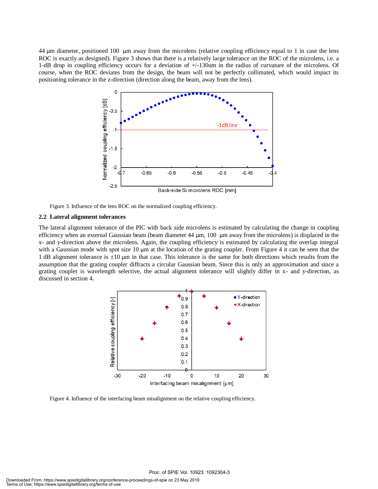44 μm diameter, positioned 100 μm away from the microlens (relative coupling efficiency equal to 1 in case the lens ROC is exactly as designed). Figure 3 shows that there is a relatively large tolerance on the ROC of the microlens, i.e. a 1-dB drop in coupling efficiency occurs for a deviation of +/-130um in the radius of curvature of the microlens. Of course, when the ROC deviates from the design, the beam will not be perfectly collimated, which would impact its positioning tolerance in the z-direction (direction along the beam, away from the lens).



Figure 3. Influence of the lens ROC on the normalized coupling efficiency.

#### **2.2 Lateral alignment tolerances**

The lateral alignment tolerance of the PIC with back side microlens is estimated by calculating the change in coupling efficiency when an external Gaussian beam (beam diameter 44 μm, 100 μm away from the microlens) is displaced in the x- and y-direction above the microlens. Again, the coupling efficiency is estimated by calculating the overlap integral with a Gaussian mode with spot size  $10 \mu m$  at the location of the grating coupler. From Figure 4 it can be seen that the 1 dB alignment tolerance is  $\pm 10 \mu m$  in that case. This tolerance is the same for both directions which results from the assumption that the grating coupler diffracts a circular Gaussian beam. Since this is only an approximation and since a grating coupler is wavelength selective, the actual alignment tolerance will slightly differ in x- and y-direction, as discussed in section 4.



Figure 4. Influence of the interfacing beam misalignment on the relative coupling efficiency.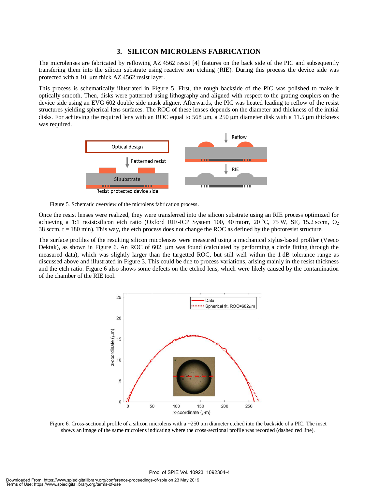#### **3. SILICON MICROLENS FABRICATION**

The microlenses are fabricated by reflowing AZ 4562 resist [4] features on the back side of the PIC and subsequently transfering them into the silicon substrate using reactive ion etching (RIE). During this process the device side was protected with a 10 μm thick AZ 4562 resist layer.

This process is schematically illustrated in Figure 5. First, the rough backside of the PIC was polished to make it optically smooth. Then, disks were patterned using lithography and aligned with respect to the grating couplers on the device side using an EVG 602 double side mask aligner. Afterwards, the PIC was heated leading to reflow of the resist structures yielding spherical lens surfaces. The ROC of these lenses depends on the diameter and thickness of the initial disks. For achieving the required lens with an ROC equal to 568 μm, a 250 μm diameter disk with a 11.5 μm thickness was required.



Figure 5. Schematic overview of the microlens fabrication process.

Once the resist lenses were realized, they were transferred into the silicon substrate using an RIE process optimized for achieving a 1:1 resist:silicon etch ratio (Oxford RIE-ICP System 100, 40 mtorr, 20 °C, 75 W, SF<sub>6</sub> 15.2 sccm, O<sub>2</sub> 38 sccm,  $t = 180$  min). This way, the etch process does not change the ROC as defined by the photoresist structure.

The surface profiles of the resulting silicon micolenses were measured using a mechanical stylus-based profiler (Veeco Dektak), as shown in Figure 6. An ROC of 602 μm was found (calculated by performing a circle fitting through the measured data), which was slightly larger than the targetted ROC, but still well within the 1 dB tolerance range as discussed above and illustrated in Figure 3. This could be due to process variations, arising mainly in the resist thickness and the etch ratio. Figure 6 also shows some defects on the etched lens, which were likely caused by the contamination of the chamber of the RIE tool.



Figure 6. Cross-sectional profile of a silicon microlens with a  $\sim$  250 µm diameter etched into the backside of a PIC. The inset shows an image of the same microlens indicating where the cross-sectional profile was recorded (dashed red line).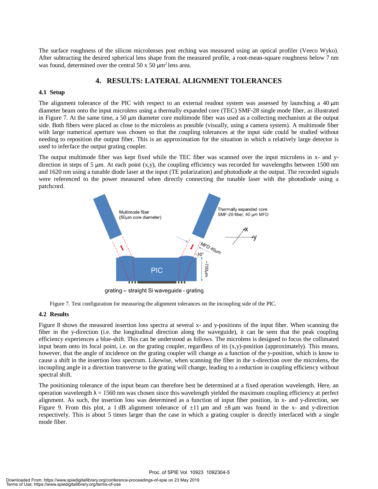The surface roughness of the silicon microlenses post etching was measured using an optical profiler (Veeco Wyko). After subtracting the desired spherical lens shape from the measured profile, a root-mean-square roughness below 7 nm was found, determined over the central  $50 \times 50 \mu m^2$  lens area.

#### **4. RESULTS: LATERAL ALIGNMENT TOLERANCES**

#### **4.1 Setup**

The alignment tolerance of the PIC with respect to an external readout system was assessed by launching a 40 μm diameter beam onto the input microlens using a thermally expanded core (TEC) SMF-28 single mode fiber, as illustrated in Figure 7. At the same time, a 50 μm diameter core multimode fiber was used as a collecting mechanism at the output side. Both fibers were placed as close to the microlens as possible (visually, using a camera system). A multimode fiber with large numerical aperture was chosen so that the coupling tolerances at the input side could be studied without needing to reposition the output fiber. This is an approximation for the situation in which a relatively large detector is used to inferface the output grating coupler.

The output multimode fiber was kept fixed while the TEC fiber was scanned over the input microlens in x- and ydirection in steps of 5  $\mu$ m. At each point  $(x,y)$ , the coupling efficiency was recorded for wavelengths between 1500 nm and 1620 nm using a tunable diode laser at the input (TE polarization) and photodiode at the output. The recorded signals were referenced to the power measured when directly connecting the tunable laser with the photodiode using a patchcord.



Figure 7. Test configuration for measuring the alignment tolerances on the incoupling side of the PIC.

#### **4.2 Results**

Figure 8 shows the measured insertion loss spectra at several x- and y-positions of the input fiber. When scanning the fiber in the y-direction (i.e. the longitudinal direction along the waveguide), it can be seen that the peak coupling efficiency experiences a blue-shift. This can be understood as follows. The microlens is designed to focus the collimated input beam onto its focal point, i.e. on the grating coupler, regardless of its  $(x,y)$ -position (approximately). This means, however, that the angle of incidence on the grating coupler will change as a function of the y-position, which is know to cause a shift in the insertion loss spectrum. Likewise, when scanning the fiber in the x-direction over the microlens, the incoupling angle in a direction transverse to the grating will change, leading to a reduction in coupling efficiency without spectral shift.

The positioning tolerance of the input beam can therefore best be determined at a fixed operation wavelength. Here, an operation wavelength  $\lambda = 1560$  nm was chosen since this wavelength yielded the maximum coupling efficiency at perfect alignment. As such, the insertion loss was determined as a function of input fiber position, in x- and y-direction, see Figure 9. From this plot, a 1 dB alignment tolerance of  $\pm 11 \,\mu m$  and  $\pm 8 \,\mu m$  was found in the x- and y-direction respectively. This is about 5 times larger than the case in which a grating coupler is directly interfaced with a single mode fiber.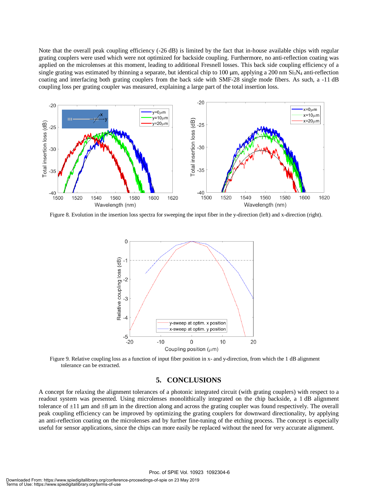Note that the overall peak coupling efficiency (-26 dB) is limited by the fact that in-house available chips with regular grating couplers were used which were not optimized for backside coupling. Furthermore, no anti-reflection coating was applied on the microlenses at this moment, leading to additional Fresnell losses. This back side coupling efficiency of a single grating was estimated by thinning a separate, but identical chip to 100  $\mu$ m, applying a 200 nm Si<sub>3</sub>N<sub>4</sub> anti-reflection coating and interfacing both grating couplers from the back side with SMF-28 single mode fibers. As such, a -11 dB coupling loss per grating coupler was measured, explaining a large part of the total insertion loss.



Figure 8. Evolution in the insertion loss spectra for sweeping the input fiber in the y-direction (left) and x-direction (right).



Figure 9. Relative coupling loss as a function of input fiber position in x- and y-direction, from which the 1 dB alignment tolerance can be extracted.

#### **5. CONCLUSIONS**

A concept for relaxing the alignment tolerances of a photonic integrated circuit (with grating couplers) with respect to a readout system was presented. Using microlenses monolithically integrated on the chip backside, a 1 dB alignment tolerance of  $\pm 11$  μm and  $\pm 8$  μm in the direction along and across the grating coupler was found respectively. The overall peak coupling efficiency can be improved by optimizing the grating couplers for downward directionality, by applying an anti-reflection coating on the microlenses and by further fine-tuning of the etching process. The concept is especially useful for sensor applications, since the chips can more easily be replaced without the need for very accurate alignment.